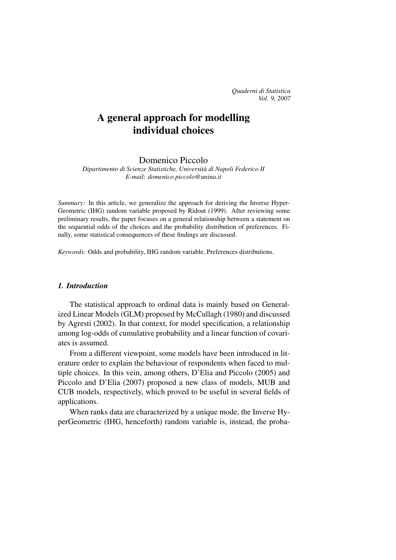# A general approach for modelling individual choices

Domenico Piccolo

*Dipartimento di Scienze Statistiche, Universita di Napoli Federico II ` E-mail: domenico.piccolo@unina.it*

*Summary:* In this article, we generalize the approach for deriving the Inverse Hyper-Geometric (IHG) random variable proposed by Ridout (1999). After reviewing some preliminary results, the paper focuses on a general relationship between a statement on the sequential odds of the choices and the probability distribution of preferences. Finally, some statistical consequences of these findings are discussed.

*Keywords:* Odds and probability, IHG random variable, Preferences distributions.

#### *1. Introduction*

The statistical approach to ordinal data is mainly based on Generalized Linear Models (GLM) proposed by McCullagh (1980) and discussed by Agresti (2002). In that context, for model specification, a relationship among log-odds of cumulative probability and a linear function of covariates is assumed.

From a different viewpoint, some models have been introduced in literature order to explain the behaviour of respondents when faced to multiple choices. In this vein, among others, D'Elia and Piccolo (2005) and Piccolo and D'Elia (2007) proposed a new class of models, MUB and CUB models, respectively, which proved to be useful in several fields of applications.

When ranks data are characterized by a unique mode, the Inverse HyperGeometric (IHG, henceforth) random variable is, instead, the proba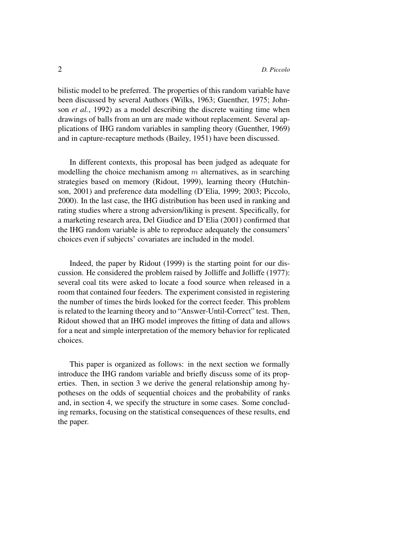bilistic model to be preferred. The properties of this random variable have been discussed by several Authors (Wilks, 1963; Guenther, 1975; Johnson *et al.*, 1992) as a model describing the discrete waiting time when drawings of balls from an urn are made without replacement. Several applications of IHG random variables in sampling theory (Guenther, 1969) and in capture-recapture methods (Bailey, 1951) have been discussed.

In different contexts, this proposal has been judged as adequate for modelling the choice mechanism among  $m$  alternatives, as in searching strategies based on memory (Ridout, 1999), learning theory (Hutchinson, 2001) and preference data modelling (D'Elia, 1999; 2003; Piccolo, 2000). In the last case, the IHG distribution has been used in ranking and rating studies where a strong adversion/liking is present. Specifically, for a marketing research area, Del Giudice and D'Elia (2001) confirmed that the IHG random variable is able to reproduce adequately the consumers' choices even if subjects' covariates are included in the model.

Indeed, the paper by Ridout (1999) is the starting point for our discussion. He considered the problem raised by Jolliffe and Jolliffe (1977): several coal tits were asked to locate a food source when released in a room that contained four feeders. The experiment consisted in registering the number of times the birds looked for the correct feeder. This problem is related to the learning theory and to "Answer-Until-Correct" test. Then, Ridout showed that an IHG model improves the fitting of data and allows for a neat and simple interpretation of the memory behavior for replicated choices.

This paper is organized as follows: in the next section we formally introduce the IHG random variable and briefly discuss some of its properties. Then, in section 3 we derive the general relationship among hypotheses on the odds of sequential choices and the probability of ranks and, in section 4, we specify the structure in some cases. Some concluding remarks, focusing on the statistical consequences of these results, end the paper.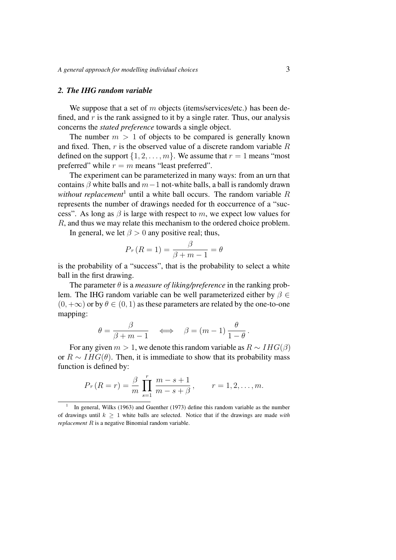#### *2. The IHG random variable*

We suppose that a set of  $m$  objects (items/services/etc.) has been defined, and  $r$  is the rank assigned to it by a single rater. Thus, our analysis concerns the *stated preference* towards a single object.

The number  $m > 1$  of objects to be compared is generally known and fixed. Then,  $r$  is the observed value of a discrete random variable  $R$ defined on the support  $\{1, 2, \ldots, m\}$ . We assume that  $r = 1$  means "most" preferred" while  $r = m$  means "least preferred".

The experiment can be parameterized in many ways: from an urn that contains  $\beta$  white balls and  $m-1$  not-white balls, a ball is randomly drawn *without replacement*<sup>1</sup> until a white ball occurs. The random variable  $R$ represents the number of drawings needed for th eoccurrence of a "success". As long as  $\beta$  is large with respect to m, we expect low values for R, and thus we may relate this mechanism to the ordered choice problem.

In general, we let  $\beta > 0$  any positive real; thus,

$$
Pr(R = 1) = \frac{\beta}{\beta + m - 1} = \theta
$$

is the probability of a "success", that is the probability to select a white ball in the first drawing.

The parameter  $\theta$  is a *measure of liking/preference* in the ranking problem. The IHG random variable can be well parameterized either by  $\beta \in$  $(0, +\infty)$  or by  $\theta \in (0, 1)$  as these parameters are related by the one-to-one mapping:

$$
\theta = \frac{\beta}{\beta + m - 1} \quad \Longleftrightarrow \quad \beta = (m - 1) \frac{\theta}{1 - \theta} \, .
$$

For any given  $m > 1$ , we denote this random variable as  $R \sim I H G(\beta)$ or  $R \sim IHG(\theta)$ . Then, it is immediate to show that its probability mass function is defined by:

$$
Pr(R = r) = \frac{\beta}{m} \prod_{s=1}^{r} \frac{m - s + 1}{m - s + \beta}, \qquad r = 1, 2, ..., m.
$$

<sup>1</sup> In general, Wilks (1963) and Guenther (1973) define this random variable as the number of drawings until  $k \geq 1$  white balls are selected. Notice that if the drawings are made *with replacement* R is a negative Binomial random variable.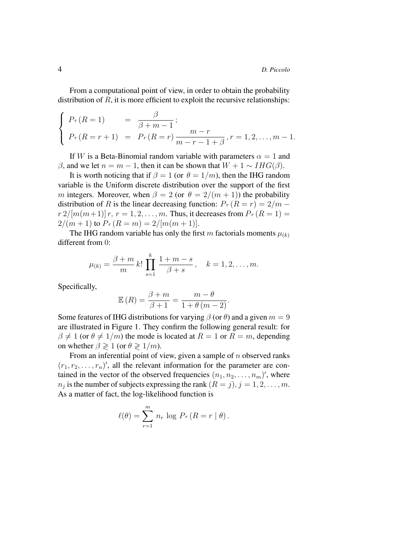From a computational point of view, in order to obtain the probability distribution of  $R$ , it is more efficient to exploit the recursive relationships:

$$
\begin{cases}\nPr(R = 1) & = \frac{\beta}{\beta + m - 1}; \\
Pr(R = r + 1) & = Pr(R = r)\frac{m - r}{m - r - 1 + \beta}, r = 1, 2, \dots, m - 1.\n\end{cases}
$$

If W is a Beta-Binomial random variable with parameters  $\alpha = 1$  and  $β$ , and we let  $n = m - 1$ , then it can be shown that  $W + 1 ~ √$   $H G(β)$ .

It is worth noticing that if  $\beta = 1$  (or  $\theta = 1/m$ ), then the IHG random variable is the Uniform discrete distribution over the support of the first m integers. Moreover, when  $\beta = 2$  (or  $\theta = 2/(m + 1)$ ) the probability distribution of R is the linear decreasing function:  $Pr(R = r) = 2/m$  $r \frac{2}{m(m+1)} r, r = 1, 2, ..., m$ . Thus, it decreases from  $Pr(R = 1) =$  $2/(m+1)$  to  $Pr(R = m) = 2/[m(m+1)].$ 

The IHG random variable has only the first m factorials moments  $\mu_{(k)}$ different from 0:

$$
\mu_{(k)} = \frac{\beta + m}{m} \, k! \, \prod_{s=1}^k \frac{1 + m - s}{\beta + s} \, , \quad k = 1, 2, \dots, m.
$$

Specifically,

$$
\mathbb{E}(R) = \frac{\beta + m}{\beta + 1} = \frac{m - \theta}{1 + \theta (m - 2)}.
$$

Some features of IHG distributions for varying  $\beta$  (or  $\theta$ ) and a given  $m = 9$ are illustrated in Figure 1. They confirm the following general result: for  $\beta \neq 1$  (or  $\theta \neq 1/m$ ) the mode is located at  $R = 1$  or  $R = m$ , depending on whether  $\beta \geq 1$  (or  $\theta \geq 1/m$ ).

From an inferential point of view, given a sample of  $n$  observed ranks  $(r_1, r_2, \ldots, r_n)'$ , all the relevant information for the parameter are contained in the vector of the observed frequencies  $(n_1, n_2, \ldots, n_m)'$ , where  $n_j$  is the number of subjects expressing the rank  $(R = j), j = 1, 2, \ldots, m$ . As a matter of fact, the log-likelihood function is

$$
\ell(\theta) = \sum_{r=1}^{m} n_r \log P_r (R = r | \theta).
$$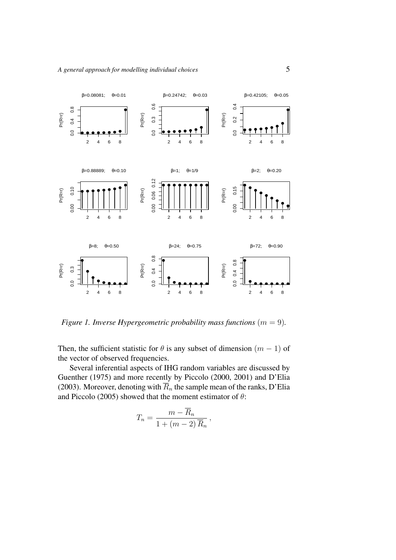

*Figure 1. Inverse Hypergeometric probability mass functions*  $(m = 9)$ *.* 

Then, the sufficient statistic for  $\theta$  is any subset of dimension  $(m - 1)$  of the vector of observed frequencies.

Several inferential aspects of IHG random variables are discussed by Guenther (1975) and more recently by Piccolo (2000, 2001) and D'Elia (2003). Moreover, denoting with  $\overline{R}_n$  the sample mean of the ranks, D'Elia and Piccolo (2005) showed that the moment estimator of  $\theta$ :

$$
T_n = \frac{m - \overline{R}_n}{1 + (m - 2)\,\overline{R}_n},
$$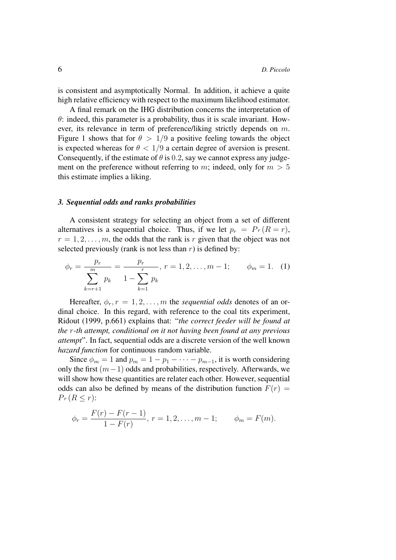is consistent and asymptotically Normal. In addition, it achieve a quite high relative efficiency with respect to the maximum likelihood estimator.

A final remark on the IHG distribution concerns the interpretation of  $\theta$ : indeed, this parameter is a probability, thus it is scale invariant. However, its relevance in term of preference/liking strictly depends on m. Figure 1 shows that for  $\theta > 1/9$  a positive feeling towards the object is expected whereas for  $\theta < 1/9$  a certain degree of aversion is present. Consequently, if the estimate of  $\theta$  is 0.2, say we cannot express any judgement on the preference without referring to m; indeed, only for  $m > 5$ this estimate implies a liking.

#### *3. Sequential odds and ranks probabilities*

A consistent strategy for selecting an object from a set of different alternatives is a sequential choice. Thus, if we let  $p_r = Pr(R = r)$ ,  $r = 1, 2, \ldots, m$ , the odds that the rank is r given that the object was not selected previously (rank is not less than  $r$ ) is defined by:

$$
\phi_r = \frac{p_r}{\sum_{k=r+1}^m p_k} = \frac{p_r}{1 - \sum_{k=1}^r p_k}, \ r = 1, 2, \dots, m-1; \qquad \phi_m = 1. \tag{1}
$$

Hereafter,  $\phi_r$ ,  $r = 1, 2, \ldots, m$  the *sequential odds* denotes of an ordinal choice. In this regard, with reference to the coal tits experiment, Ridout (1999, p.661) explains that: "*the correct feeder will be found at the* r*-th attempt, conditional on it not having been found at any previous attempt*". In fact, sequential odds are a discrete version of the well known *hazard function* for continuous random variable.

Since  $\phi_m = 1$  and  $p_m = 1 - p_1 - \cdots - p_{m-1}$ , it is worth considering only the first  $(m−1)$  odds and probabilities, respectively. Afterwards, we will show how these quantities are relater each other. However, sequential odds can also be defined by means of the distribution function  $F(r)$  =  $Pr(R \leq r)$ :

$$
\phi_r = \frac{F(r) - F(r - 1)}{1 - F(r)}, r = 1, 2, ..., m - 1; \qquad \phi_m = F(m).
$$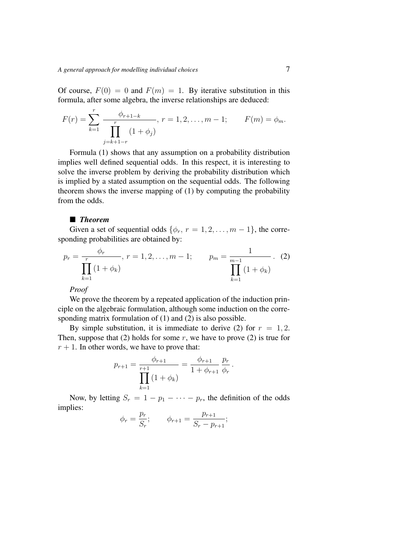Of course,  $F(0) = 0$  and  $F(m) = 1$ . By iterative substitution in this formula, after some algebra, the inverse relationships are deduced:

$$
F(r) = \sum_{k=1}^{r} \frac{\phi_{r+1-k}}{\prod_{j=k+1-r}^{r} (1+\phi_j)}, r = 1, 2, ..., m-1; \qquad F(m) = \phi_m.
$$

Formula (1) shows that any assumption on a probability distribution implies well defined sequential odds. In this respect, it is interesting to solve the inverse problem by deriving the probability distribution which is implied by a stated assumption on the sequential odds. The following theorem shows the inverse mapping of (1) by computing the probability from the odds.

# ■ *Theorem*

Given a set of sequential odds  $\{\phi_r, r = 1, 2, \ldots, m - 1\}$ , the corresponding probabilities are obtained by:

$$
p_r = \frac{\phi_r}{\prod_{k=1}^r (1 + \phi_k)}, \ r = 1, 2, \dots, m - 1; \qquad p_m = \frac{1}{\prod_{k=1}^{m-1} (1 + \phi_k)}.
$$
 (2)

*Proof*

We prove the theorem by a repeated application of the induction principle on the algebraic formulation, although some induction on the corresponding matrix formulation of (1) and (2) is also possible.

By simple substitution, it is immediate to derive (2) for  $r = 1, 2$ . Then, suppose that (2) holds for some  $r$ , we have to prove (2) is true for  $r + 1$ . In other words, we have to prove that:

$$
p_{r+1} = \frac{\phi_{r+1}}{\prod_{k=1}^{r+1} (1 + \phi_k)} = \frac{\phi_{r+1}}{1 + \phi_{r+1}} \frac{p_r}{\phi_r}.
$$

Now, by letting  $S_r = 1 - p_1 - \cdots - p_r$ , the definition of the odds implies:

$$
\phi_r = \frac{p_r}{S_r};
$$
\n $\phi_{r+1} = \frac{p_{r+1}}{S_r - p_{r+1}};$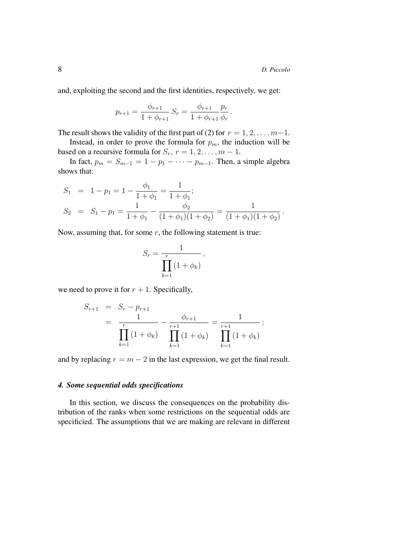and, exploiting the second and the first identities, respectively, we get:

$$
p_{r+1} = \frac{\phi_{r+1}}{1 + \phi_{r+1}} S_r = \frac{\phi_{r+1}}{1 + \phi_{r+1}} \frac{p_r}{\phi_r}.
$$

The result shows the validity of the first part of (2) for  $r = 1, 2, \ldots, m-1$ .

Instead, in order to prove the formula for  $p_m$ , the induction will be based on a recursive formula for  $S_r$ ,  $r = 1, 2, \ldots, m - 1$ .

In fact,  $p_m = S_{m-1} = 1 - p_1 - \cdots - p_{m-1}$ . Then, a simple algebra shows that:

$$
S_1 = 1 - p_1 = 1 - \frac{\phi_1}{1 + \phi_1} = \frac{1}{1 + \phi_1};
$$
  
\n
$$
S_2 = S_1 - p_1 = \frac{1}{1 + \phi_1} - \frac{\phi_2}{(1 + \phi_1)(1 + \phi_2)} = \frac{1}{(1 + \phi_1)(1 + \phi_2)}.
$$

Now, assuming that, for some  $r$ , the following statement is true:

$$
S_r = \frac{1}{\prod_{k=1}^r (1 + \phi_k)},
$$

we need to prove it for  $r + 1$ . Specifically,

$$
S_{r+1} = S_r - p_{r+1}
$$
  
=  $\frac{1}{\prod_{k=1}^r (1 + \phi_k)} - \frac{\phi_{r+1}}{\prod_{k=1}^{r+1} (1 + \phi_k)} = \frac{1}{\prod_{k=1}^{r+1} (1 + \phi_k)};$ 

and by replacing  $r = m - 2$  in the last expression, we get the final result.

# *4. Some sequential odds specifications*

In this section, we discuss the consequences on the probability distribution of the ranks when some restrictions on the sequential odds are specificied. The assumptions that we are making are relevant in different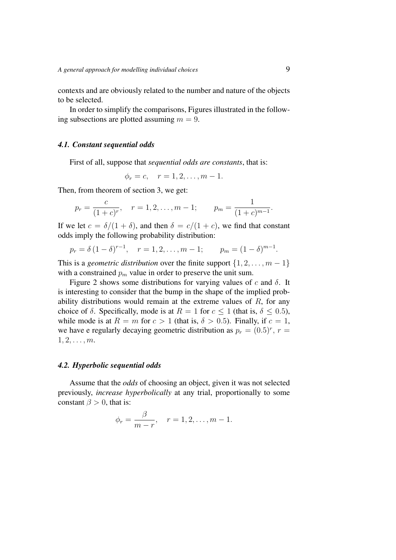contexts and are obviously related to the number and nature of the objects to be selected.

In order to simplify the comparisons, Figures illustrated in the following subsections are plotted assuming  $m = 9$ .

# *4.1. Constant sequential odds*

First of all, suppose that *sequential odds are constants*, that is:

$$
\phi_r = c, \quad r = 1, 2, \dots, m - 1.
$$

Then, from theorem of section 3, we get:

$$
p_r = \frac{c}{(1+c)^r}, \quad r = 1, 2, ..., m-1; \qquad p_m = \frac{1}{(1+c)^{m-1}}.
$$

If we let  $c = \delta/(1 + \delta)$ , and then  $\delta = c/(1 + c)$ , we find that constant odds imply the following probability distribution:

$$
p_r = \delta (1 - \delta)^{r-1}, \quad r = 1, 2, ..., m - 1; \qquad p_m = (1 - \delta)^{m-1}.
$$

This is a *geometric distribution* over the finite support  $\{1, 2, \ldots, m-1\}$ with a constrained  $p_m$  value in order to preserve the unit sum.

Figure 2 shows some distributions for varying values of c and  $\delta$ . It is interesting to consider that the bump in the shape of the implied probability distributions would remain at the extreme values of  $R$ , for any choice of  $\delta$ . Specifically, mode is at  $R = 1$  for  $c \le 1$  (that is,  $\delta \le 0.5$ ), while mode is at  $R = m$  for  $c > 1$  (that is,  $\delta > 0.5$ ). Finally, if  $c = 1$ , we have e regularly decaying geometric distribution as  $p_r = (0.5)^r$ ,  $r =$  $1, 2, \ldots, m$ .

#### *4.2. Hyperbolic sequential odds*

Assume that the *odds* of choosing an object, given it was not selected previously, *increase hyperbolically* at any trial, proportionally to some constant  $\beta > 0$ , that is:

$$
\phi_r = \frac{\beta}{m - r}, \quad r = 1, 2, \dots, m - 1.
$$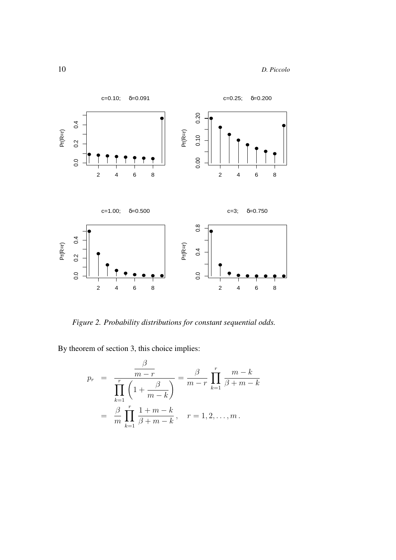10 *D. Piccolo*



*Figure 2. Probability distributions for constant sequential odds.*

By theorem of section 3, this choice implies:

$$
p_r = \frac{\frac{\beta}{m-r}}{\prod_{k=1}^r \left(1 + \frac{\beta}{m-k}\right)} = \frac{\beta}{m-r} \prod_{k=1}^r \frac{m-k}{\beta+m-k}
$$

$$
= \frac{\beta}{m} \prod_{k=1}^r \frac{1+m-k}{\beta+m-k}, \quad r = 1, 2, \dots, m.
$$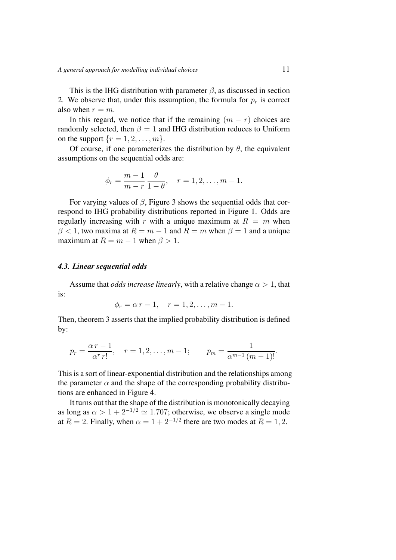This is the IHG distribution with parameter  $\beta$ , as discussed in section 2. We observe that, under this assumption, the formula for  $p_r$  is correct also when  $r = m$ .

In this regard, we notice that if the remaining  $(m - r)$  choices are randomly selected, then  $\beta = 1$  and IHG distribution reduces to Uniform on the support  $\{r = 1, 2, \ldots, m\}.$ 

Of course, if one parameterizes the distribution by  $\theta$ , the equivalent assumptions on the sequential odds are:

$$
\phi_r = \frac{m-1}{m-r} \frac{\theta}{1-\theta}, \quad r = 1, 2, ..., m-1.
$$

For varying values of  $\beta$ , Figure 3 shows the sequential odds that correspond to IHG probability distributions reported in Figure 1. Odds are regularly increasing with r with a unique maximum at  $R = m$  when  $\beta$  < 1, two maxima at  $R = m - 1$  and  $R = m$  when  $\beta = 1$  and a unique maximum at  $R = m - 1$  when  $\beta > 1$ .

# *4.3. Linear sequential odds*

Assume that *odds increase linearly*, with a relative change  $\alpha > 1$ , that is:

$$
\phi_r = \alpha r - 1, \quad r = 1, 2, \dots, m - 1.
$$

Then, theorem 3 asserts that the implied probability distribution is defined by:

$$
p_r = \frac{\alpha r - 1}{\alpha^r r!}
$$
,  $r = 1, 2, ..., m - 1$ ;  $p_m = \frac{1}{\alpha^{m-1} (m-1)!}$ .

This is a sort of linear-exponential distribution and the relationships among the parameter  $\alpha$  and the shape of the corresponding probability distributions are enhanced in Figure 4.

It turns out that the shape of the distribution is monotonically decaying as long as  $\alpha > 1 + 2^{-1/2} \simeq 1.707$ ; otherwise, we observe a single mode at  $R = 2$ . Finally, when  $\alpha = 1 + 2^{-1/2}$  there are two modes at  $R = 1, 2$ .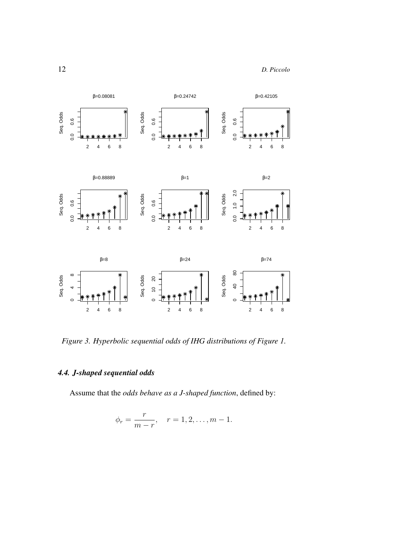

*Figure 3. Hyperbolic sequential odds of IHG distributions of Figure 1.*

# *4.4. J-shaped sequential odds*

Assume that the *odds behave as a J-shaped function*, defined by:

$$
\phi_r = \frac{r}{m-r}, \quad r = 1, 2, \dots, m-1.
$$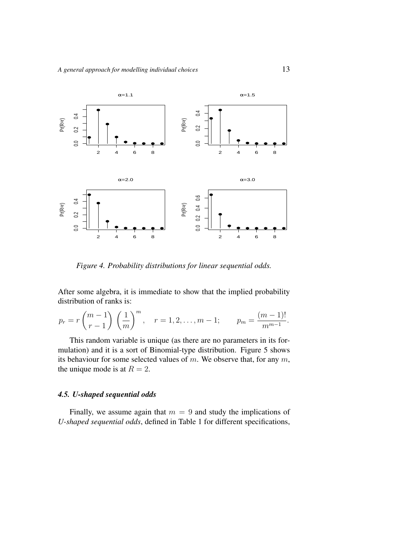

*Figure 4. Probability distributions for linear sequential odds.*

After some algebra, it is immediate to show that the implied probability distribution of ranks is:

$$
p_r = r \binom{m-1}{r-1} \left(\frac{1}{m}\right)^m
$$
,  $r = 1, 2, ..., m-1$ ;  $p_m = \frac{(m-1)!}{m^{m-1}}$ .

This random variable is unique (as there are no parameters in its formulation) and it is a sort of Binomial-type distribution. Figure 5 shows its behaviour for some selected values of  $m$ . We observe that, for any  $m$ , the unique mode is at  $R = 2$ .

# *4.5. U-shaped sequential odds*

Finally, we assume again that  $m = 9$  and study the implications of *U-shaped sequential odds*, defined in Table 1 for different specifications,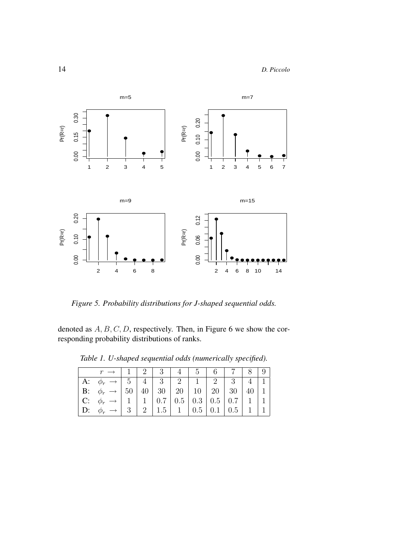

*Figure 5. Probability distributions for J-shaped sequential odds.*

denoted as  $A, B, C, D$ , respectively. Then, in Figure 6 we show the corresponding probability distributions of ranks.

|           | $r \rightarrow 1$   2   3   4   5   6   7   8   9                                                 |  |  |  |                 |  |
|-----------|---------------------------------------------------------------------------------------------------|--|--|--|-----------------|--|
|           | A: $\phi_r \rightarrow$ 5 4 3 2 1 2 3 4 1                                                         |  |  |  |                 |  |
|           | <b>B</b> : $\phi_r \rightarrow 50 \mid 40 \mid 30 \mid 20 \mid 10 \mid 20 \mid 30 \mid 40 \mid 1$ |  |  |  |                 |  |
|           | C: $\phi_r \rightarrow$   1   1   0.7   0.5   0.3   0.5   0.7                                     |  |  |  | $1 \mid 1 \mid$ |  |
| $\mid$ D: | $\phi_r \rightarrow   3   2   1.5   1   0.5   0.1   0.5  $                                        |  |  |  |                 |  |

*Table 1. U-shaped sequential odds (numerically specified).*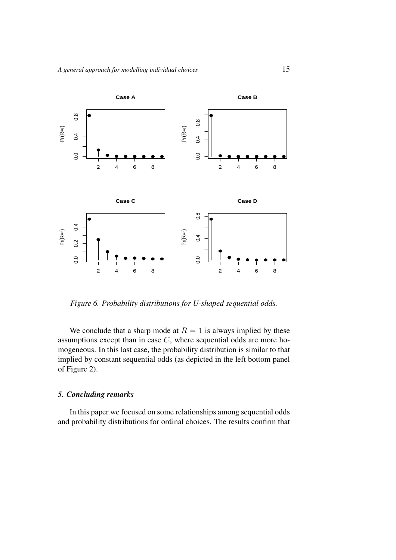

*Figure 6. Probability distributions for U-shaped sequential odds.*

We conclude that a sharp mode at  $R = 1$  is always implied by these assumptions except than in case C, where sequential odds are more homogeneous. In this last case, the probability distribution is similar to that implied by constant sequential odds (as depicted in the left bottom panel of Figure 2).

# *5. Concluding remarks*

In this paper we focused on some relationships among sequential odds and probability distributions for ordinal choices. The results confirm that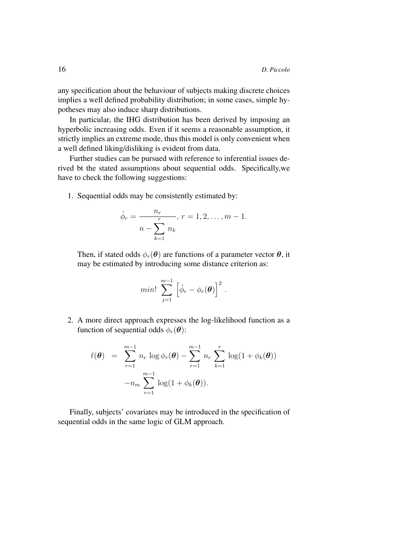any specification about the behaviour of subjects making discrete choices implies a well defined probability distribution; in some cases, simple hypotheses may also induce sharp distributions.

In particular, the IHG distribution has been derived by imposing an hyperbolic increasing odds. Even if it seems a reasonable assumption, it strictly implies an extreme mode, thus this model is only convenient when a well defined liking/disliking is evident from data.

Further studies can be pursued with reference to inferential issues derived bt the stated assumptions about sequential odds. Specifically,we have to check the following suggestions:

1. Sequential odds may be consistently estimated by:

$$
\hat{\phi}_r = \frac{n_r}{n - \sum_{k=1}^r n_k}, \ r = 1, 2, \dots, m - 1.
$$

Then, if stated odds  $\phi_r(\theta)$  are functions of a parameter vector  $\theta$ , it may be estimated by introducing some distance criterion as:

$$
min! \sum_{j=1}^{m-1} \left[ \hat{\phi}_r - \phi_r(\boldsymbol{\theta}) \right]^2.
$$

2. A more direct approach expresses the log-likelihood function as a function of sequential odds  $\phi_r(\theta)$ :

$$
\ell(\boldsymbol{\theta}) = \sum_{r=1}^{m-1} n_r \log \phi_r(\boldsymbol{\theta}) - \sum_{r=1}^{m-1} n_r \sum_{k=1}^r \log(1 + \phi_k(\boldsymbol{\theta})) -n_m \sum_{r=1}^{m-1} \log(1 + \phi_k(\boldsymbol{\theta})).
$$

Finally, subjects' covariates may be introduced in the specification of sequential odds in the same logic of GLM approach.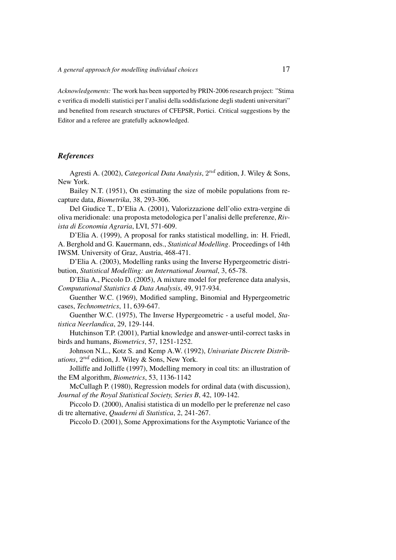*Acknowledgements:* The work has been supported by PRIN-2006 research project: "Stima e verifica di modelli statistici per l'analisi della soddisfazione degli studenti universitari" and benefited from research structures of CFEPSR, Portici. Critical suggestions by the Editor and a referee are gratefully acknowledged.

## *References*

Agresti A. (2002), *Categorical Data Analysis*,  $2^{nd}$  edition, J. Wiley & Sons, New York.

Bailey N.T. (1951), On estimating the size of mobile populations from recapture data, *Biometrika*, 38, 293-306.

Del Giudice T., D'Elia A. (2001), Valorizzazione dell'olio extra-vergine di oliva meridionale: una proposta metodologica per l'analisi delle preferenze, *Rivista di Economia Agraria*, LVI, 571-609.

D'Elia A. (1999), A proposal for ranks statistical modelling, in: H. Friedl, A. Berghold and G. Kauermann, eds., *Statistical Modelling*. Proceedings of 14th IWSM. University of Graz, Austria, 468-471.

D'Elia A. (2003), Modelling ranks using the Inverse Hypergeometric distribution, *Statistical Modelling: an International Journal*, 3, 65-78.

D'Elia A., Piccolo D. (2005), A mixture model for preference data analysis, *Computational Statistics & Data Analysis*, 49, 917-934.

Guenther W.C. (1969), Modified sampling, Binomial and Hypergeometric cases, *Technometrics*, 11, 639-647.

Guenther W.C. (1975), The Inverse Hypergeometric - a useful model, *Statistica Neerlandica*, 29, 129-144.

Hutchinson T.P. (2001), Partial knowledge and answer-until-correct tasks in birds and humans, *Biometrics*, 57, 1251-1252.

Johnson N.L., Kotz S. and Kemp A.W. (1992), *Univariate Discrete Distrib*utions,  $2^{nd}$  edition, J. Wiley & Sons, New York.

Jolliffe and Jolliffe (1997), Modelling memory in coal tits: an illustration of the EM algorithm, *Biometrics*, 53, 1136-1142

McCullagh P. (1980), Regression models for ordinal data (with discussion), *Journal of the Royal Statistical Society, Series B*, 42, 109-142.

Piccolo D. (2000), Analisi statistica di un modello per le preferenze nel caso di tre alternative, *Quaderni di Statistica*, 2, 241-267.

Piccolo D. (2001), Some Approximations for the Asymptotic Variance of the